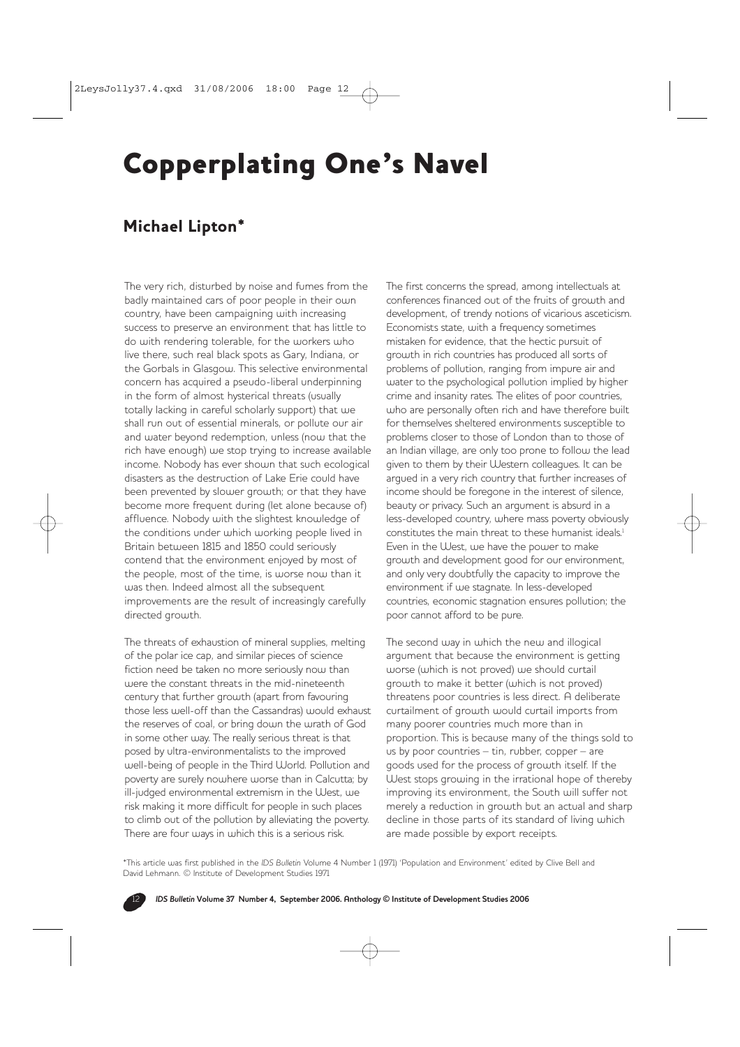## Copperplating One's Navel

## Michael Lipton\*

The very rich, disturbed by noise and fumes from the badly maintained cars of poor people in their own country, have been campaigning with increasing success to preserve an environment that has little to do with rendering tolerable, for the workers who live there, such real black spots as Gary, Indiana, or the Gorbals in Glasgow. This selective environmental concern has acquired a pseudo-liberal underpinning in the form of almost hysterical threats (usually totally lacking in careful scholarly support) that we shall run out of essential minerals, or pollute our air and water beyond redemption, unless (now that the rich have enough) we stop trying to increase available income. Nobody has ever shown that such ecological disasters as the destruction of Lake Erie could have been prevented by slower growth; or that they have become more frequent during (let alone because of) affluence. Nobody with the slightest knowledge of the conditions under which working people lived in Britain between 1815 and 1850 could seriously contend that the environment enjoyed by most of the people, most of the time, is worse now than it was then. Indeed almost all the subsequent improvements are the result of increasingly carefully directed growth.

The threats of exhaustion of mineral supplies, melting of the polar ice cap, and similar pieces of science fiction need be taken no more seriously now than were the constant threats in the mid-nineteenth century that further growth (apart from favouring those less well-off than the Cassandras) would exhaust the reserves of coal, or bring down the wrath of God in some other way. The really serious threat is that posed by ultra-environmentalists to the improved well-being of people in the Third World. Pollution and poverty are surely nowhere worse than in Calcutta; by ill-judged environmental extremism in the West, we risk making it more difficult for people in such places to climb out of the pollution by alleviating the poverty. There are four ways in which this is a serious risk.

The first concerns the spread, among intellectuals at conferences financed out of the fruits of growth and development, of trendy notions of vicarious asceticism. Economists state, with a frequency sometimes mistaken for evidence, that the hectic pursuit of growth in rich countries has produced all sorts of problems of pollution, ranging from impure air and water to the psychological pollution implied by higher crime and insanity rates. The elites of poor countries, who are personally often rich and have therefore built for themselves sheltered environments susceptible to problems closer to those of London than to those of an Indian village, are only too prone to follow the lead given to them by their Western colleagues. It can be argued in a very rich country that further increases of income should be foregone in the interest of silence, beauty or privacy. Such an argument is absurd in a less-developed country, where mass poverty obviously constitutes the main threat to these humanist ideals.1 Even in the West, we have the power to make growth and development good for our environment, and only very doubtfully the capacity to improve the environment if we stagnate. In less-developed countries, economic stagnation ensures pollution; the poor cannot afford to be pure.

The second way in which the new and illogical argument that because the environment is getting worse (which is not proved) we should curtail growth to make it better (which is not proved) threatens poor countries is less direct. A deliberate curtailment of growth would curtail imports from many poorer countries much more than in proportion. This is because many of the things sold to us by poor countries – tin, rubber, copper – are goods used for the process of growth itself. If the West stops growing in the irrational hope of thereby improving its environment, the South will suffer not merely a reduction in growth but an actual and sharp decline in those parts of its standard of living which are made possible by export receipts.

\*This article was first published in the *IDS Bulletin* Volume 4 Number 1 (1971) 'Population and Environment' edited by Clive Bell and David Lehmann. © Institute of Development Studies 1971